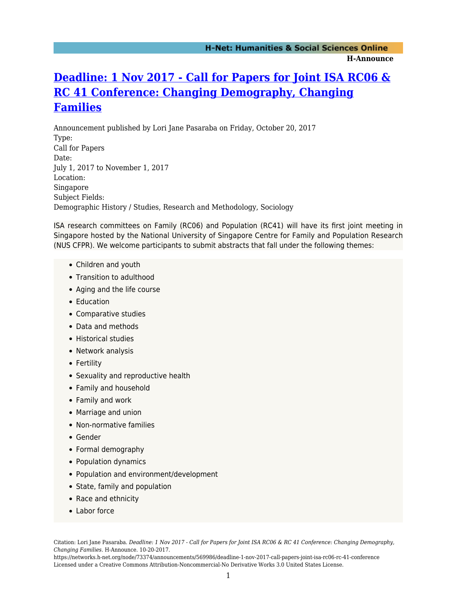## **[Deadline: 1 Nov 2017 - Call for Papers for Joint ISA RC06 &](https://networks.h-net.org/node/73374/announcements/569986/deadline-1-nov-2017-call-papers-joint-isa-rc06-rc-41-conference) [RC 41 Conference: Changing Demography, Changing](https://networks.h-net.org/node/73374/announcements/569986/deadline-1-nov-2017-call-papers-joint-isa-rc06-rc-41-conference) [Families](https://networks.h-net.org/node/73374/announcements/569986/deadline-1-nov-2017-call-papers-joint-isa-rc06-rc-41-conference)**

Announcement published by Lori Jane Pasaraba on Friday, October 20, 2017 Type: Call for Papers Date: July 1, 2017 to November 1, 2017 Location: Singapore Subject Fields: Demographic History / Studies, Research and Methodology, Sociology

ISA research committees on Family (RC06) and Population (RC41) will have its first joint meeting in Singapore hosted by the National University of Singapore Centre for Family and Population Research (NUS CFPR). We welcome participants to submit abstracts that fall under the following themes:

- Children and youth
- Transition to adulthood
- Aging and the life course
- Education
- Comparative studies
- Data and methods
- Historical studies
- Network analysis
- Fertility
- Sexuality and reproductive health
- Family and household
- Family and work
- Marriage and union
- Non-normative families
- Gender
- Formal demography
- Population dynamics
- Population and environment/development
- State, family and population
- Race and ethnicity
- Labor force

Citation: Lori Jane Pasaraba. *Deadline: 1 Nov 2017 - Call for Papers for Joint ISA RC06 & RC 41 Conference: Changing Demography, Changing Families*. H-Announce. 10-20-2017.

https://networks.h-net.org/node/73374/announcements/569986/deadline-1-nov-2017-call-papers-joint-isa-rc06-rc-41-conference Licensed under a Creative Commons Attribution-Noncommercial-No Derivative Works 3.0 United States License.